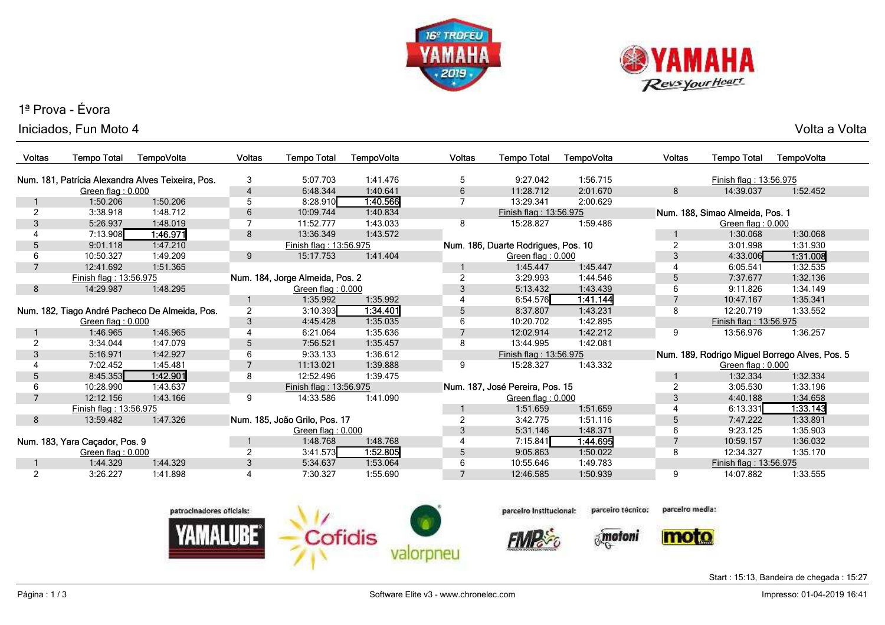



## 1ª Prova - ÉvoraIniciados, Fun Moto 4

| Voltas         | <b>Tempo Total</b>             | TempoVolta                                        | <b>Voltas</b>  | <b>Tempo Total</b>              | TempoVolta | <b>Voltas</b> | Tempo Total                         | TempoVolta | Voltas         | <b>Tempo Total</b>              | TempoVolta                                     |
|----------------|--------------------------------|---------------------------------------------------|----------------|---------------------------------|------------|---------------|-------------------------------------|------------|----------------|---------------------------------|------------------------------------------------|
|                |                                | Num. 181, Patrícia Alexandra Alves Teixeira, Pos. | 3              | 5:07.703                        | 1:41.476   | 5             | 9:27.042                            | 1:56.715   |                | Finish flag: 13:56.975          |                                                |
|                | Green flag: 0.000              |                                                   | $\overline{4}$ | 6:48.344                        | 1:40.641   | 6             | 11:28.712                           | 2:01.670   | 8              | 14:39.037                       | 1:52.452                                       |
|                | 1:50.206                       | 1:50.206                                          | 5              | 8:28.910                        | 1:40.566   |               | 13:29.341                           | 2:00.629   |                |                                 |                                                |
|                | 3:38.918                       | 1:48.712                                          | 6              | 10:09.744                       | 1:40.834   |               | Finish flag: 13:56.975              |            |                | Num. 188, Simao Almeida, Pos. 1 |                                                |
| 3              | 5:26.937                       | 1:48.019                                          | 7              | 11:52.777                       | 1:43.033   | 8             | 15:28.827                           | 1:59.486   |                | Green flag: 0.000               |                                                |
|                | 7:13.908                       | 1:46.971                                          | 8              | 13:36.349                       | 1:43.572   |               |                                     |            |                | 1:30.068                        | 1:30.068                                       |
| 5              | 9:01.118                       | 1:47.210                                          |                | Finish flag: 13:56.975          |            |               | Num. 186, Duarte Rodrigues, Pos. 10 |            | $\overline{2}$ | 3:01.998                        | 1:31.930                                       |
| 6              | 10:50.327                      | 1:49.209                                          | 9              | 15:17.753                       | 1:41.404   |               | Green flag: 0.000                   |            | 3              | 4:33.006                        | 1.31.008                                       |
|                | 12:41.692                      | 1:51.365                                          |                |                                 |            |               | 1:45.447                            | 1:45.447   |                | 6:05.541                        | 1:32.535                                       |
|                | Finish flag: 13:56.975         |                                                   |                | Num. 184, Jorge Almeida, Pos. 2 |            |               | 3:29.993                            | 1:44.546   | 5              | 7:37.677                        | 1:32.136                                       |
| 8              | 14:29.987                      | 1:48.295                                          |                | Green flag: 0.000               |            | 3             | 5:13.432                            | 1:43.439   | 6              | 9:11.826                        | 1:34.149                                       |
|                |                                |                                                   |                | 1:35.992                        | 1:35.992   |               | 6:54.576                            | 1:41.144   |                | 10:47.167                       | 1:35.341                                       |
|                |                                | Num. 182, Tiago André Pacheco De Almeida, Pos.    | $\overline{2}$ | 3:10.393                        | 1:34.401   | 5             | 8:37.807                            | 1:43.231   | 8              | 12:20.719                       | 1:33.552                                       |
|                | Green flag: 0.000              |                                                   | $\mathfrak{Z}$ | 4:45.428                        | 1:35.035   | 6             | 10:20.702                           | 1:42.895   |                | Finish flag: 13:56.975          |                                                |
|                | 1:46.965                       | 1:46.965                                          | 4              | 6:21.064                        | 1:35.636   |               | 12:02.914                           | 1:42.212   | 9              | 13:56.976                       | 1:36.257                                       |
| $\overline{2}$ | 3:34.044                       | 1:47.079                                          | 5              | 7:56.521                        | 1:35.457   | 8             | 13:44.995                           | 1:42.081   |                |                                 |                                                |
| 3              | 5:16.971                       | 1:42.927                                          | 6              | 9:33.133                        | 1:36.612   |               | Finish flag: 13:56.975              |            |                |                                 | Num. 189, Rodrigo Miguel Borrego Alves, Pos. 5 |
|                | 7:02.452                       | 1:45.481                                          |                | 11:13.021                       | 1:39.888   | 9             | 15:28.327                           | 1:43.332   |                | Green flag: 0.000               |                                                |
| 5              | 8:45.353                       | 1:42.901                                          | 8              | 12:52.496                       | 1:39.475   |               |                                     |            |                | 1:32.334                        | 1:32.334                                       |
| 6              | 10:28.990                      | 1:43.637                                          |                | Finish flag: 13:56.975          |            |               | Num. 187, José Pereira, Pos. 15     |            |                | 3:05.530                        | 1:33.196                                       |
|                | 12:12.156                      | 1:43.166                                          | 9              | 14:33.586                       | 1:41.090   |               | Green flag: 0.000                   |            | 3              | 4:40.188                        | 1:34.658                                       |
|                | Finish flag: 13:56.975         |                                                   |                |                                 |            |               | 1:51.659                            | 1:51.659   |                | 6:13.331                        | 1:33.143                                       |
| 8              | 13:59.482                      | 1:47.326                                          |                | Num. 185, João Grilo, Pos. 17   |            |               | 3:42.775                            | 1:51.116   | 5              | 7:47.222                        | 1:33.891                                       |
|                |                                |                                                   |                | Green flag: 0.000               |            | 3             | 5:31.146                            | 1:48.371   | 6              | 9:23.125                        | 1:35.903                                       |
|                | Num. 183, Yara Caçador, Pos. 9 |                                                   |                | 1:48.768                        | 1:48.768   |               | 7:15.841                            | 1:44.695   |                | 10:59.157                       | 1:36.032                                       |
|                | Green flag: 0.000              |                                                   | 2              | 3:41.573                        | 1:52.805   | 5             | 9:05.863                            | 1:50.022   | 8              | 12:34.327                       | 1:35.170                                       |
|                | 1:44.329                       | 1:44.329                                          | 3              | 5:34.637                        | 1:53.064   | 6             | 10:55.646                           | 1:49.783   |                | Finish flag: 13:56.975          |                                                |
|                | 3:26.227                       | 1:41.898                                          |                | 7:30.327                        | 1:55.690   |               | 12:46.585                           | 1:50.939   | 9              | 14:07.882                       | 1:33.555                                       |



parcelro Institucional: parceiro técnico:

*imotoni* 

parcelro media:



Start : 15:13, Bandeira de chegada : 15:27

Impresso: 01-04-2019 16:41

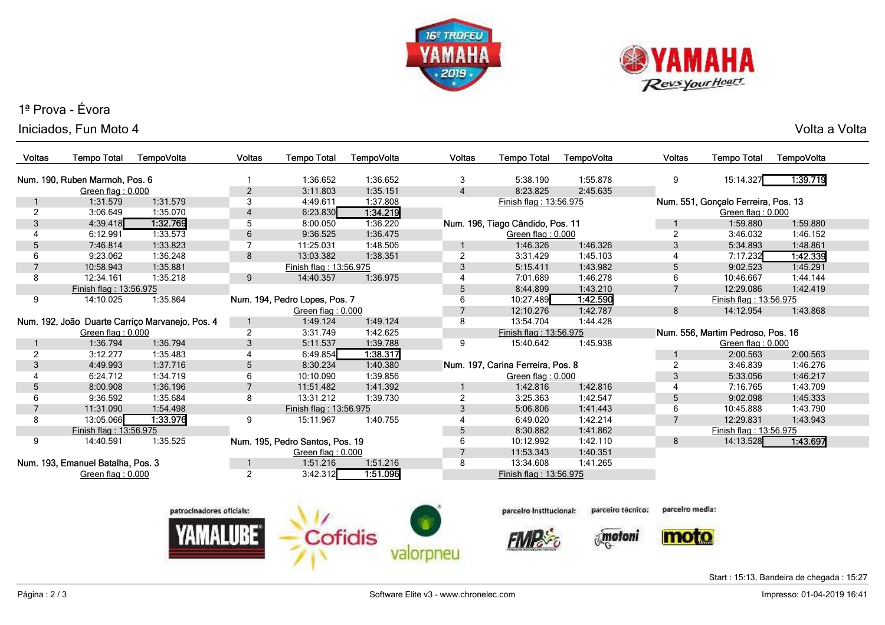



## 1ª Prova - Évora

Iniciados, Fun Moto 4Volta a Volta

| Voltas         | <b>Tempo Total</b>                | TempoVolta                                      | <b>Voltas</b>       | <b>Tempo Total</b>              | TempoVolta           | <b>Voltas</b>       | <b>Tempo Total</b>                | <b>TempoVolta</b> | Voltas         | <b>Tempo Total</b>                                       | TempoVolta |
|----------------|-----------------------------------|-------------------------------------------------|---------------------|---------------------------------|----------------------|---------------------|-----------------------------------|-------------------|----------------|----------------------------------------------------------|------------|
|                | Num. 190. Ruben Marmoh. Pos. 6    |                                                 |                     | 1:36.652<br>3:11.803            | 1:36.652<br>1:35.151 | 3<br>$\overline{4}$ | 5:38.190<br>8:23.825              | 1:55.878          | 9              | 15:14.327                                                | 1.39.719   |
|                | Green flag: 0.000<br>1:31.579     | 1:31.579                                        | $\overline{2}$<br>3 | 4:49.611                        | 1:37.808             |                     |                                   | 2:45.635          |                |                                                          |            |
| 2              | 3:06.649                          | 1:35.070                                        | $\overline{4}$      | 6:23.830                        | 1:34.219             |                     | Finish flag: 13:56.975            |                   |                | Num. 551, Goncalo Ferreira, Pos. 13<br>Green flag: 0.000 |            |
| 3              | 4:39.418                          | 1:32.769                                        | 5                   | 8:00.050                        | 1:36.220             |                     | Num. 196, Tiago Cândido, Pos. 11  |                   |                | 1:59.880                                                 | 1:59.880   |
|                | 6:12.991                          | 1:33.573                                        | 6                   | 9:36.525                        | 1:36.475             |                     | Green flag: 0.000                 |                   | $\overline{2}$ | 3:46.032                                                 | 1:46.152   |
| 5              | 7:46.814                          | 1:33.823                                        |                     | 11:25.031                       | 1:48.506             |                     | 1:46.326                          | 1:46.326          | 3              | 5:34.893                                                 | 1:48.861   |
|                | 9:23.062                          | 1:36.248                                        | 8                   | 13:03.382                       | 1:38.351             | $\overline{2}$      | 3:31.429                          | 1:45.103          |                | 7:17.232                                                 | 1:42.339   |
| $\overline{7}$ | 10:58.943                         | 1:35.881                                        |                     | Finish flag: 13:56.975          |                      | 3                   | 5:15.411                          | 1:43.982          | 5              | 9:02.523                                                 | 1:45.291   |
| 8              | 12:34.161                         | 1:35.218                                        | 9                   | 14:40.357                       | 1:36.975             | 4                   | 7:01.689                          | 1:46.278          | 6              | 10:46.667                                                | 1:44.144   |
|                | Finish flag: 13:56.975            |                                                 |                     |                                 |                      | 5                   | 8:44.899                          | 1:43.210          | $\overline{7}$ | 12:29.086                                                | 1:42.419   |
| 9              | 14:10.025                         | 1:35.864                                        |                     | Num. 194, Pedro Lopes, Pos. 7   |                      | 6                   | 10:27.489                         | 1:42.590          |                | Finish flag: 13:56.975                                   |            |
|                |                                   |                                                 |                     | Green flag: 0.000               |                      | 7                   | 12:10.276                         | 1:42.787          | 8              | 14:12.954                                                | 1:43.868   |
|                |                                   | Num. 192, João Duarte Carriço Marvanejo, Pos. 4 |                     | 1:49.124                        | 1:49.124             | 8                   | 13:54.704                         | 1:44.428          |                |                                                          |            |
|                | Green flag: 0.000                 |                                                 | $\overline{2}$      | 3:31.749                        | 1:42.625             |                     | Finish flag: 13:56.975            |                   |                | Num. 556, Martim Pedroso, Pos. 16                        |            |
|                | 1:36.794                          | 1:36.794                                        | 3                   | 5:11.537                        | 1:39.788             | 9                   | 15:40.642                         | 1:45.938          |                | Green flag: 0.000                                        |            |
| $\overline{2}$ | 3:12.277                          | 1:35.483                                        | 4                   | 6:49.854                        | 1:38.317             |                     |                                   |                   |                | 2:00.563                                                 | 2:00.563   |
| 3              | 4:49.993                          | 1:37.716                                        | 5                   | 8:30.234                        | 1:40.380             |                     | Num. 197, Carina Ferreira, Pos. 8 |                   | $\overline{2}$ | 3:46.839                                                 | 1:46.276   |
|                | 6:24.712                          | 1:34.719                                        | 6                   | 10:10.090                       | 1:39.856             |                     | Green flag: 0.000                 |                   | 3              | 5:33.056                                                 | 1:46.217   |
| 5              | 8:00.908                          | 1:36.196                                        | 7                   | 11:51.482                       | 1:41.392             | $\mathbf 1$         | 1:42.816                          | 1:42.816          | 4              | 7:16.765                                                 | 1:43.709   |
| 6              | 9:36.592                          | 1:35.684                                        | 8                   | 13:31.212                       | 1:39.730             | $\overline{2}$      | 3:25.363                          | 1:42.547          | 5              | 9:02.098                                                 | 1:45.333   |
| $\overline{7}$ | 11:31.090                         | 1:54.498                                        |                     | Finish flag: 13:56.975          |                      | 3                   | 5:06.806                          | 1:41.443          | 6              | 10:45.888                                                | 1:43.790   |
| 8              | 13:05.066                         | 1:33.976                                        | 9                   | 15:11.967                       | 1:40.755             | 4                   | 6:49.020                          | 1:42.214          | $\overline{7}$ | 12:29.831                                                | 1:43.943   |
|                | Finish flag: 13:56.975            |                                                 |                     |                                 |                      | $\sqrt{5}$          | 8:30.882                          | 1:41.862          |                | Finish flag: 13:56.975                                   |            |
| 9              | 14:40.591                         | 1:35.525                                        |                     | Num. 195, Pedro Santos, Pos. 19 |                      | 6                   | 10:12.992                         | 1:42.110          | 8              | 14:13.528                                                | 1:43.697   |
|                |                                   |                                                 |                     | Green flag: 0.000               |                      |                     | 11:53.343                         | 1:40.351          |                |                                                          |            |
|                | Num. 193, Emanuel Batalha, Pos. 3 |                                                 |                     | 1:51.216                        | 1:51.216             | 8                   | 13:34.608                         | 1:41.265          |                |                                                          |            |
|                | Green flag: 0.000                 |                                                 | $\overline{2}$      | 3:42.312                        | 1:51.096             |                     | Finish flag: 13:56.975            |                   |                |                                                          |            |
|                |                                   |                                                 |                     |                                 |                      |                     |                                   |                   |                |                                                          |            |



parcelro Institucional:

**FIVIN**<sub>c</sub>

parcelro media: parceiro técnico:

 $\delta$ motoni

moto

Start : 15:13, Bandeira de chegada : 15:27